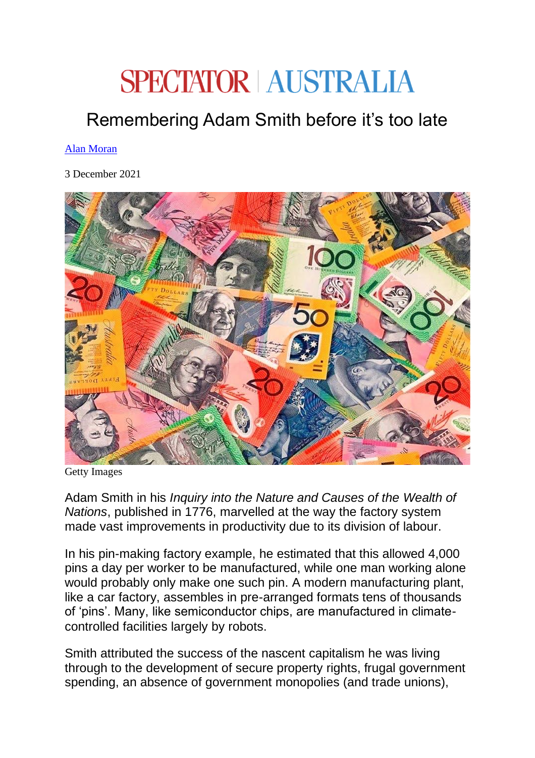## **SPECTATOR AUSTRALIA**

## Remembering Adam Smith before it's too late

## [Alan Moran](https://spectator.com.au/author/alanmoran/)

3 December 2021



Getty Images

Adam Smith in his *Inquiry into the Nature and Causes of the Wealth of Nations*, published in 1776, marvelled at the way the factory system made vast improvements in productivity due to its division of labour.

In his pin-making factory example, he estimated that this allowed 4,000 pins a day per worker to be manufactured, while one man working alone would probably only make one such pin. A modern manufacturing plant, like a car factory, assembles in pre-arranged formats tens of thousands of 'pins'. Many, like semiconductor chips, are manufactured in climatecontrolled facilities largely by robots.

Smith attributed the success of the nascent capitalism he was living through to the development of secure property rights, frugal government spending, an absence of government monopolies (and trade unions),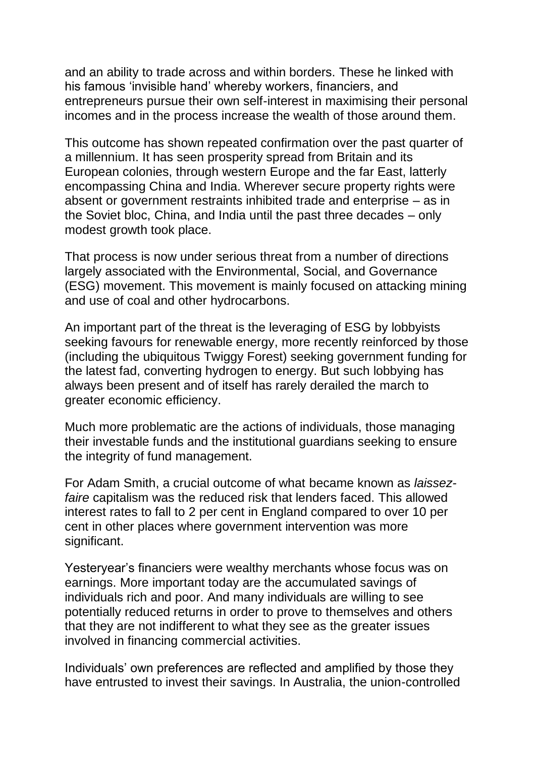and an ability to trade across and within borders. These he linked with his famous 'invisible hand' whereby workers, financiers, and entrepreneurs pursue their own self-interest in maximising their personal incomes and in the process increase the wealth of those around them.

This outcome has shown repeated confirmation over the past quarter of a millennium. It has seen prosperity spread from Britain and its European colonies, through western Europe and the far East, latterly encompassing China and India. Wherever secure property rights were absent or government restraints inhibited trade and enterprise – as in the Soviet bloc, China, and India until the past three decades – only modest growth took place.

That process is now under serious threat from a number of directions largely associated with the Environmental, Social, and Governance (ESG) movement. This movement is mainly focused on attacking mining and use of coal and other hydrocarbons.

An important part of the threat is the leveraging of ESG by lobbyists seeking favours for renewable energy, more recently reinforced by those (including the ubiquitous Twiggy Forest) seeking government funding for the latest fad, converting hydrogen to energy. But such lobbying has always been present and of itself has rarely derailed the march to greater economic efficiency.

Much more problematic are the actions of individuals, those managing their investable funds and the institutional guardians seeking to ensure the integrity of fund management.

For Adam Smith, a crucial outcome of what became known as *laissezfaire* capitalism was the reduced risk that lenders faced. This allowed interest rates to fall to 2 per cent in England compared to over 10 per cent in other places where government intervention was more significant.

Yesteryear's financiers were wealthy merchants whose focus was on earnings. More important today are the accumulated savings of individuals rich and poor. And many individuals are willing to see potentially reduced returns in order to prove to themselves and others that they are not indifferent to what they see as the greater issues involved in financing commercial activities.

Individuals' own preferences are reflected and amplified by those they have entrusted to invest their savings. In Australia, the union-controlled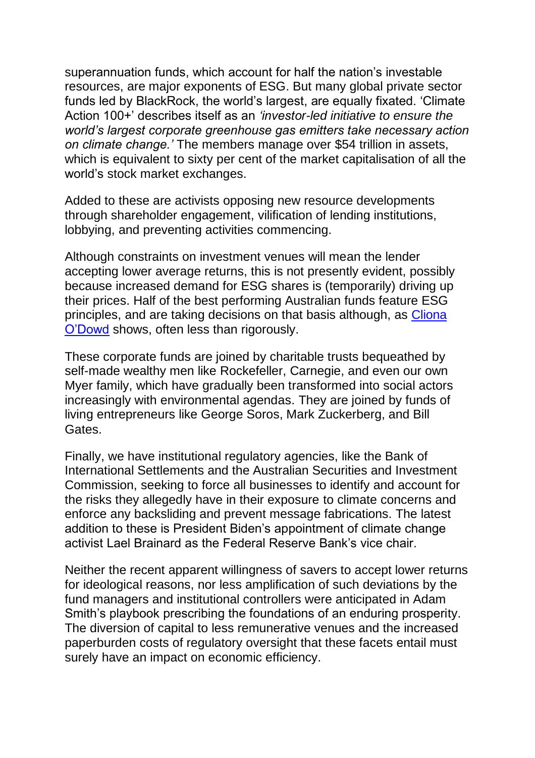superannuation funds, which account for half the nation's investable resources, are major exponents of ESG. But many global private sector funds led by BlackRock, the world's largest, are equally fixated. 'Climate Action 100+' describes itself as an *'investor-led initiative to ensure the world's largest corporate greenhouse gas emitters take necessary action on climate change.'* The members manage over \$54 trillion in assets, which is equivalent to sixty per cent of the market capitalisation of all the world's stock market exchanges.

Added to these are activists opposing new resource developments through shareholder engagement, vilification of lending institutions, lobbying, and preventing activities commencing.

Although constraints on investment venues will mean the lender accepting lower average returns, this is not presently evident, possibly because increased demand for ESG shares is (temporarily) driving up their prices. Half of the best performing Australian funds feature ESG principles, and are taking decisions on that basis although, as [Cliona](https://www.theaustralian.com.au/business/companies/institutional-investors-rank-climate-risk-as-top-esg-concern-but-take-little-action-in-portfolios-macquarie-survey/news-story/cf9264d59beb1a85db598ab56a6a9317?utm_source=TheAustralian&utm_medium=Email&utm_campaign=Editorial&utm_content=AM_BIZREV_Newsletter)  [O'Dowd](https://www.theaustralian.com.au/business/companies/institutional-investors-rank-climate-risk-as-top-esg-concern-but-take-little-action-in-portfolios-macquarie-survey/news-story/cf9264d59beb1a85db598ab56a6a9317?utm_source=TheAustralian&utm_medium=Email&utm_campaign=Editorial&utm_content=AM_BIZREV_Newsletter) shows, often less than rigorously.

These corporate funds are joined by charitable trusts bequeathed by self-made wealthy men like Rockefeller, Carnegie, and even our own Myer family, which have gradually been transformed into social actors increasingly with environmental agendas. They are joined by funds of living entrepreneurs like George Soros, Mark Zuckerberg, and Bill **Gates** 

Finally, we have institutional regulatory agencies, like the Bank of International Settlements and the Australian Securities and Investment Commission, seeking to force all businesses to identify and account for the risks they allegedly have in their exposure to climate concerns and enforce any backsliding and prevent message fabrications. The latest addition to these is President Biden's appointment of climate change activist Lael Brainard as the Federal Reserve Bank's vice chair.

Neither the recent apparent willingness of savers to accept lower returns for ideological reasons, nor less amplification of such deviations by the fund managers and institutional controllers were anticipated in Adam Smith's playbook prescribing the foundations of an enduring prosperity. The diversion of capital to less remunerative venues and the increased paperburden costs of regulatory oversight that these facets entail must surely have an impact on economic efficiency.